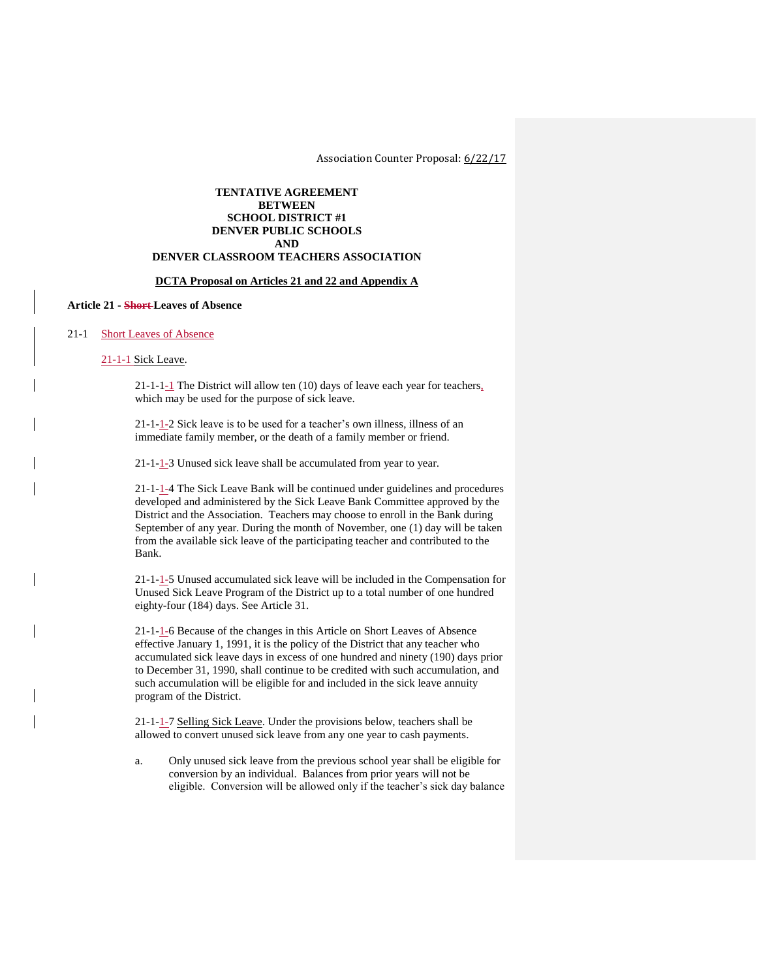Association Counter Proposal: 6/22/17

## **TENTATIVE AGREEMENT BETWEEN SCHOOL DISTRICT #1 DENVER PUBLIC SCHOOLS AND**

# **DENVER CLASSROOM TEACHERS ASSOCIATION**

## **DCTA Proposal on Articles 21 and 22 and Appendix A**

## **Article 21 - Short Leaves of Absence**

#### 21-1 Short Leaves of Absence

#### 21-1-1 Sick Leave.

21-1-1-1 The District will allow ten (10) days of leave each year for teachers, which may be used for the purpose of sick leave.

21-1-1-2 Sick leave is to be used for a teacher's own illness, illness of an immediate family member, or the death of a family member or friend.

21-1-1-3 Unused sick leave shall be accumulated from year to year.

21-1-1-4 The Sick Leave Bank will be continued under guidelines and procedures developed and administered by the Sick Leave Bank Committee approved by the District and the Association. Teachers may choose to enroll in the Bank during September of any year. During the month of November, one (1) day will be taken from the available sick leave of the participating teacher and contributed to the Bank.

21-1-1-5 Unused accumulated sick leave will be included in the Compensation for Unused Sick Leave Program of the District up to a total number of one hundred eighty-four (184) days. See Article 31.

21-1-1-6 Because of the changes in this Article on Short Leaves of Absence effective January 1, 1991, it is the policy of the District that any teacher who accumulated sick leave days in excess of one hundred and ninety (190) days prior to December 31, 1990, shall continue to be credited with such accumulation, and such accumulation will be eligible for and included in the sick leave annuity program of the District.

21-1-1-7 Selling Sick Leave. Under the provisions below, teachers shall be allowed to convert unused sick leave from any one year to cash payments.

a. Only unused sick leave from the previous school year shall be eligible for conversion by an individual. Balances from prior years will not be eligible. Conversion will be allowed only if the teacher's sick day balance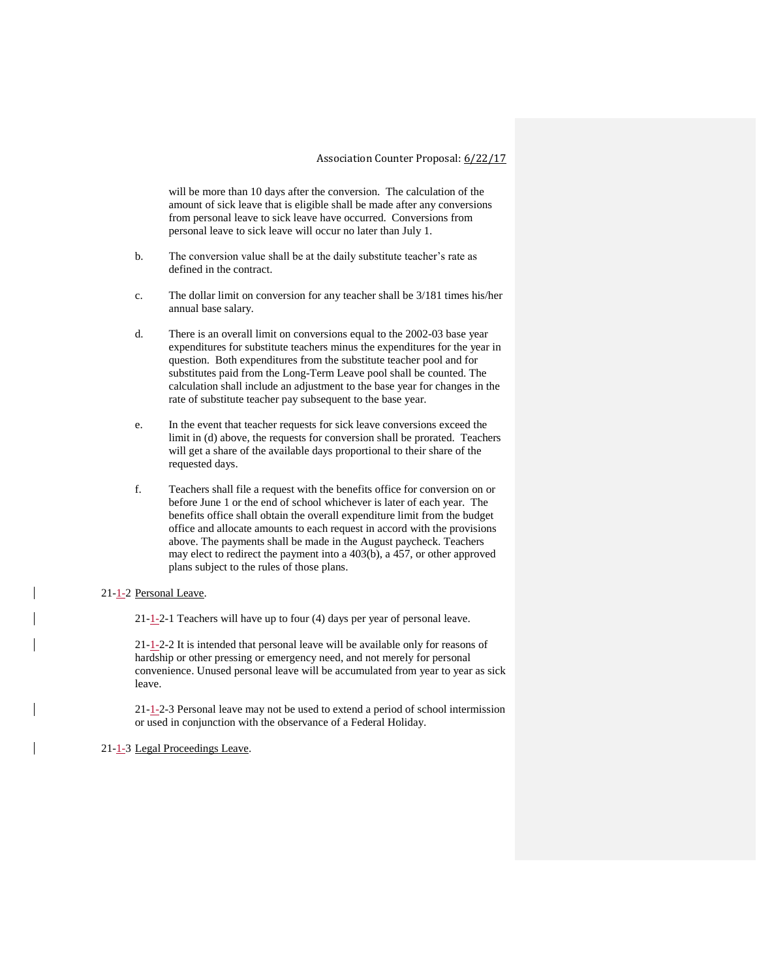will be more than 10 days after the conversion. The calculation of the amount of sick leave that is eligible shall be made after any conversions from personal leave to sick leave have occurred. Conversions from personal leave to sick leave will occur no later than July 1.

- b. The conversion value shall be at the daily substitute teacher's rate as defined in the contract.
- c. The dollar limit on conversion for any teacher shall be 3/181 times his/her annual base salary.
- d. There is an overall limit on conversions equal to the 2002-03 base year expenditures for substitute teachers minus the expenditures for the year in question. Both expenditures from the substitute teacher pool and for substitutes paid from the Long-Term Leave pool shall be counted. The calculation shall include an adjustment to the base year for changes in the rate of substitute teacher pay subsequent to the base year.
- e. In the event that teacher requests for sick leave conversions exceed the limit in (d) above, the requests for conversion shall be prorated. Teachers will get a share of the available days proportional to their share of the requested days.
- f. Teachers shall file a request with the benefits office for conversion on or before June 1 or the end of school whichever is later of each year. The benefits office shall obtain the overall expenditure limit from the budget office and allocate amounts to each request in accord with the provisions above. The payments shall be made in the August paycheck. Teachers may elect to redirect the payment into a 403(b), a 457, or other approved plans subject to the rules of those plans.

#### 21-1-2 Personal Leave.

21-1-2-1 Teachers will have up to four (4) days per year of personal leave.

21-1-2-2 It is intended that personal leave will be available only for reasons of hardship or other pressing or emergency need, and not merely for personal convenience. Unused personal leave will be accumulated from year to year as sick leave.

21-1-2-3 Personal leave may not be used to extend a period of school intermission or used in conjunction with the observance of a Federal Holiday.

## 21-1-3 Legal Proceedings Leave.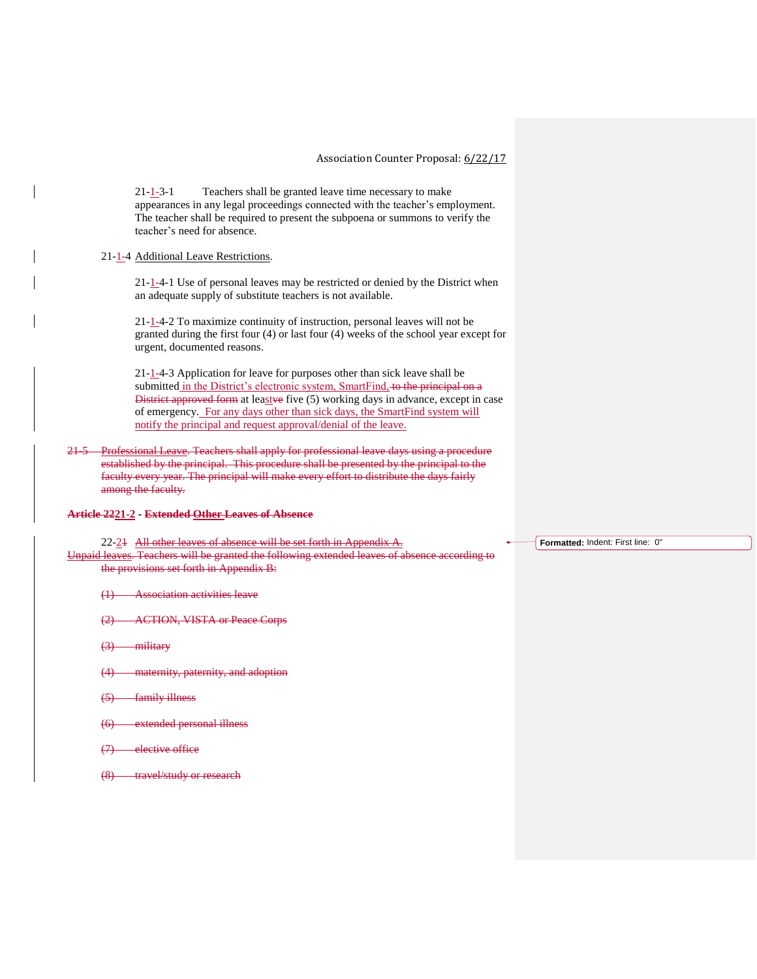21-1-3-1 Teachers shall be granted leave time necessary to make appearances in any legal proceedings connected with the teacher's employment. The teacher shall be required to present the subpoena or summons to verify the teacher's need for absence.

## 21-1-4 Additional Leave Restrictions.

21-1-4-1 Use of personal leaves may be restricted or denied by the District when an adequate supply of substitute teachers is not available.

21-1-4-2 To maximize continuity of instruction, personal leaves will not be granted during the first four (4) or last four (4) weeks of the school year except for urgent, documented reasons.

21-1-4-3 Application for leave for purposes other than sick leave shall be submitted in the District's electronic system, SmartFind, to the principal on a District approved form at leastve five (5) working days in advance, except in case of emergency. For any days other than sick days, the SmartFind system will notify the principal and request approval/denial of the leave.

21-5 Professional Leave. Teachers shall apply for professional leave days using a procedure established by the principal. This procedure shall be presented by the principal to the faculty every year. The principal will make every effort to distribute the days fairly among the faculty.

### **Article 2221-2 - Extended Other Leaves of Absence**

22-21 All other leaves of absence will be set forth in Appendix A.

Unpaid leaves. Teachers will be granted the following extended leaves of absence according to the provisions set forth in Appendix B:

- (1) Association activities leave
- (2) ACTION, VISTA or Peace Corps
- (3) military
- (4) maternity, paternity, and adoption
- (5) family illness
- extended personal illness
- (7) elective office
- (8) travel/study or research

**Formatted:** Indent: First line: 0"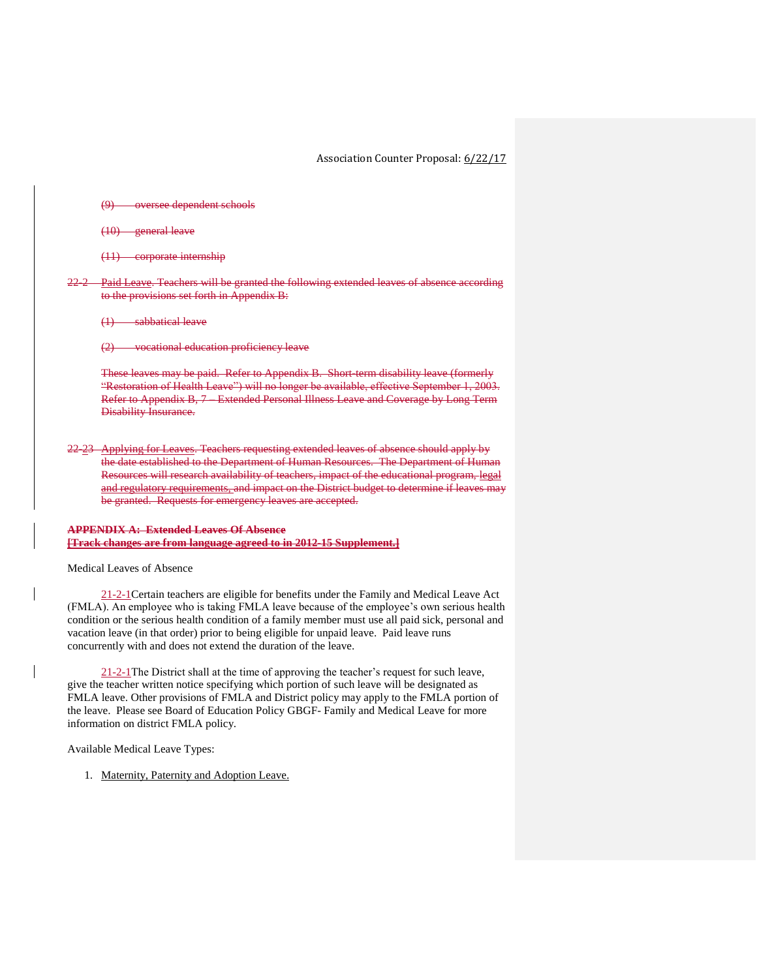Association Counter Proposal: 6/22/17

(9) oversee dependent schools

(10) general leave

(11) corporate internship

Paid Leave. Teachers will be granted the following extended leaves of absence according to the provisions set forth in Appendix B:

(1) sabbatical leave

(2) vocational education proficiency leave

These leaves may be paid. Refer to Appendix B. Short-term disability leave (formerly "Restoration of Health Leave") will no longer be available, effective September 1, 2003. Refer to Appendix B, 7 – Extended Personal Illness Leave and Coverage by Long Term Disability Insurance.

22-23 Applying for Leaves. Teachers requesting extended leaves of absence should apply by the date established to the Department of Human Resources. The Department of Human Resources will research availability of teachers, impact of the educational program, legal and regulatory requirements, and impact on the District budget to determine if leaves may be granted. Requests for emergency leaves are accepted.

## **APPENDIX A: Extended Leaves Of Absence [Track changes are from language agreed to in 2012-15 Supplement.]**

Medical Leaves of Absence

21-2-1Certain teachers are eligible for benefits under the Family and Medical Leave Act (FMLA). An employee who is taking FMLA leave because of the employee's own serious health condition or the serious health condition of a family member must use all paid sick, personal and vacation leave (in that order) prior to being eligible for unpaid leave. Paid leave runs concurrently with and does not extend the duration of the leave.

21-2-1The District shall at the time of approving the teacher's request for such leave, give the teacher written notice specifying which portion of such leave will be designated as FMLA leave. Other provisions of FMLA and District policy may apply to the FMLA portion of the leave. Please see Board of Education Policy GBGF- Family and Medical Leave for more information on district FMLA policy.

Available Medical Leave Types:

1. Maternity, Paternity and Adoption Leave.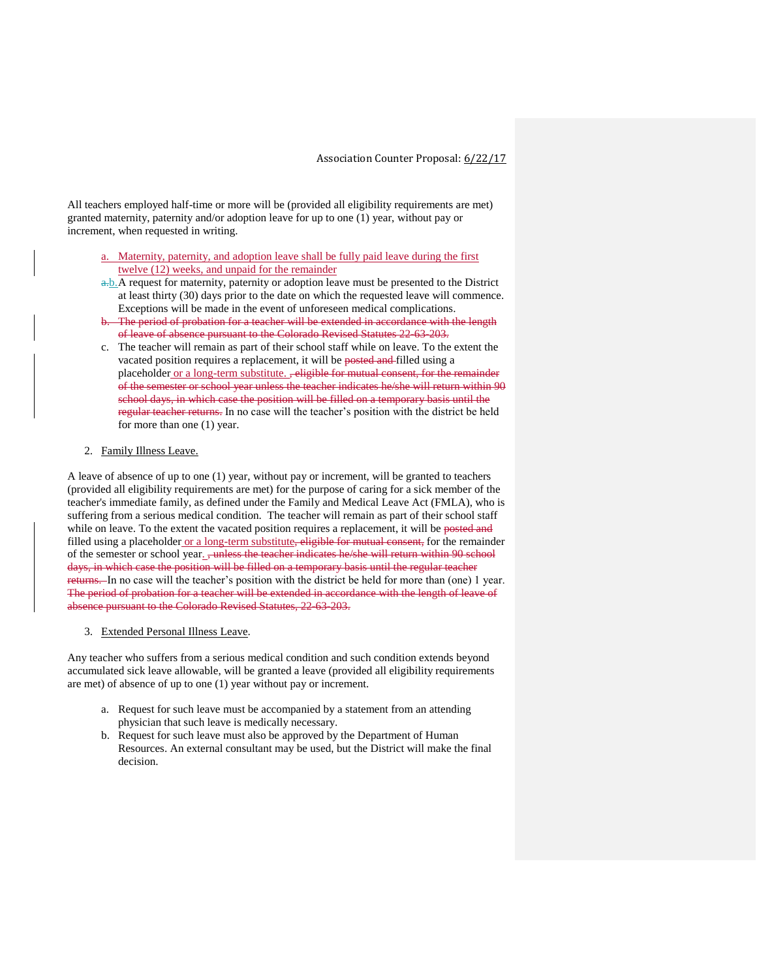All teachers employed half-time or more will be (provided all eligibility requirements are met) granted maternity, paternity and/or adoption leave for up to one (1) year, without pay or increment, when requested in writing.

- a. Maternity, paternity, and adoption leave shall be fully paid leave during the first twelve (12) weeks, and unpaid for the remainder
- a.b.A request for maternity, paternity or adoption leave must be presented to the District at least thirty (30) days prior to the date on which the requested leave will commence. Exceptions will be made in the event of unforeseen medical complications.
- The period of probation for a teacher will be extended in accordance with the length of leave of absence pursuant to the Colorado Revised Statutes 22-63-203.
- c. The teacher will remain as part of their school staff while on leave. To the extent the vacated position requires a replacement, it will be posted and filled using a placeholder or a long-term substitute. , eligible for mutual consent, for the remainder of the semester or school year unless the teacher indicates he/she will return within 90 school days, in which case the position will be filled on a temporary basis until the regular teacher returns. In no case will the teacher's position with the district be held for more than one (1) year.

#### 2. Family Illness Leave.

A leave of absence of up to one (1) year, without pay or increment, will be granted to teachers (provided all eligibility requirements are met) for the purpose of caring for a sick member of the teacher's immediate family, as defined under the Family and Medical Leave Act (FMLA), who is suffering from a serious medical condition. The teacher will remain as part of their school staff while on leave. To the extent the vacated position requires a replacement, it will be posted and filled using a placeholder or a long-term substitute, eligible for mutual consent, for the remainder of the semester or school year. <del>, unless the teacher indicates he/she will return within 90 school</del> days, in which case the position will be filled on a temporary basis until the regular teacher returns. In no case will the teacher's position with the district be held for more than (one) 1 year. The period of probation for a teacher will be extended in accordance with the length of leave of absence pursuant to the Colorado Revised Statutes, 22-63-203.

#### 3. Extended Personal Illness Leave.

Any teacher who suffers from a serious medical condition and such condition extends beyond accumulated sick leave allowable, will be granted a leave (provided all eligibility requirements are met) of absence of up to one (1) year without pay or increment.

- a. Request for such leave must be accompanied by a statement from an attending physician that such leave is medically necessary.
- b. Request for such leave must also be approved by the Department of Human Resources. An external consultant may be used, but the District will make the final decision.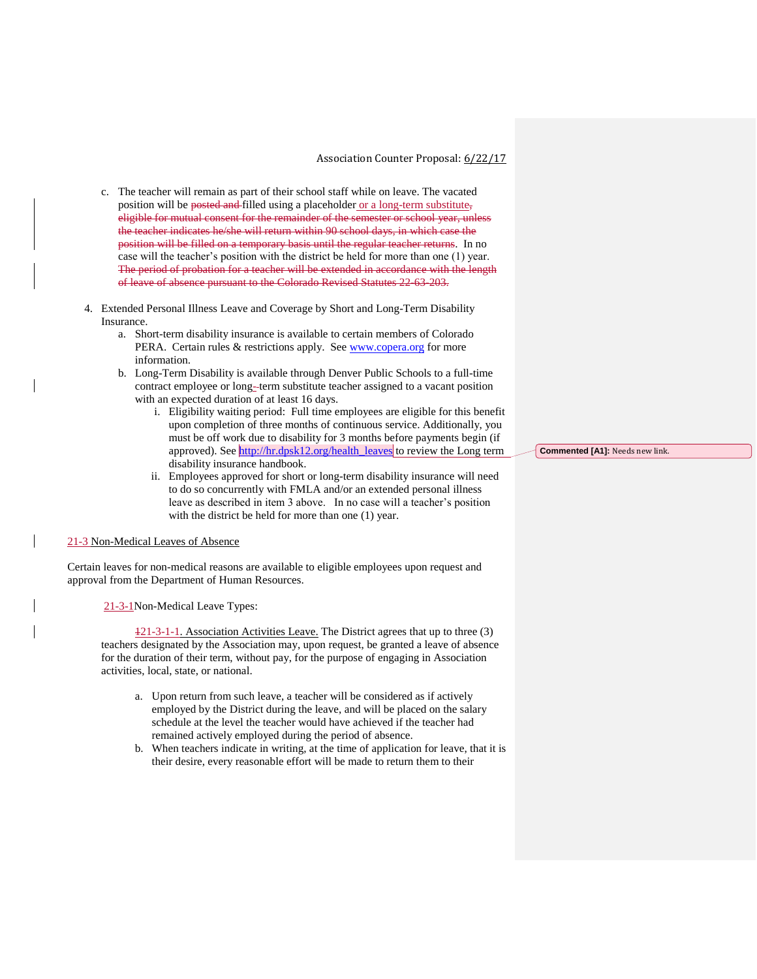- c. The teacher will remain as part of their school staff while on leave. The vacated position will be posted and filled using a placeholder or a long-term substitute, eligible for mutual consent for the remainder of the semester or school year, unless the teacher indicates he/she will return within 90 school days, in which case the position will be filled on a temporary basis until the regular teacher returns. In no case will the teacher's position with the district be held for more than one (1) year. The period of probation for a teacher will be extended in accordance with the length of leave of absence pursuant to the Colorado Revised Statutes 22-63-203.
- 4. Extended Personal Illness Leave and Coverage by Short and Long-Term Disability Insurance.
	- a. Short-term disability insurance is available to certain members of Colorado PERA. Certain rules & restrictions apply. See [www.copera.org](http://www.copera.org/) for more information.
	- b. Long-Term Disability is available through Denver Public Schools to a full-time contract employee or long-term substitute teacher assigned to a vacant position with an expected duration of at least 16 days.
		- i. Eligibility waiting period: Full time employees are eligible for this benefit upon completion of three months of continuous service. Additionally, you must be off work due to disability for 3 months before payments begin (if approved). See [http://hr.dpsk12.org/health\\_leaves](http://hr.dpsk12.org/health_leaves) to review the Long term disability insurance handbook.
		- ii. Employees approved for short or long-term disability insurance will need to do so concurrently with FMLA and/or an extended personal illness leave as described in item 3 above. In no case will a teacher's position with the district be held for more than one (1) year.

#### 21-3 Non-Medical Leaves of Absence

Certain leaves for non-medical reasons are available to eligible employees upon request and approval from the Department of Human Resources.

21-3-1Non-Medical Leave Types:

121-3-1-1. Association Activities Leave. The District agrees that up to three (3) teachers designated by the Association may, upon request, be granted a leave of absence for the duration of their term, without pay, for the purpose of engaging in Association activities, local, state, or national.

- a. Upon return from such leave, a teacher will be considered as if actively employed by the District during the leave, and will be placed on the salary schedule at the level the teacher would have achieved if the teacher had remained actively employed during the period of absence.
- b. When teachers indicate in writing, at the time of application for leave, that it is their desire, every reasonable effort will be made to return them to their

**Commented [A1]:** Needs new link.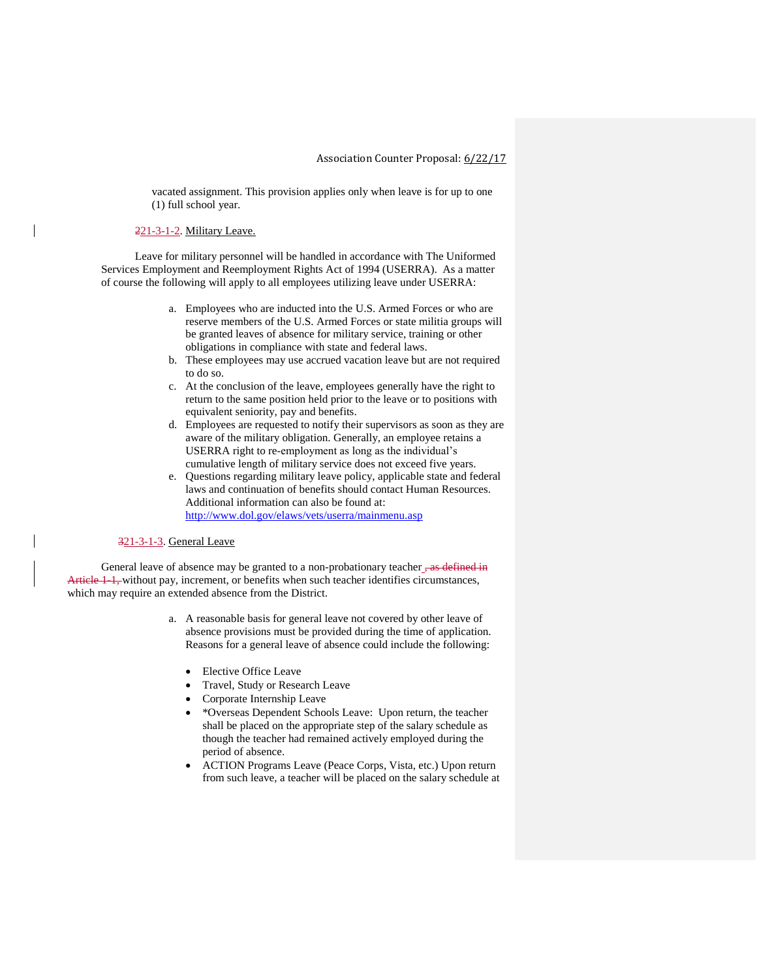vacated assignment. This provision applies only when leave is for up to one (1) full school year.

## 221-3-1-2. Military Leave.

Leave for military personnel will be handled in accordance with The Uniformed Services Employment and Reemployment Rights Act of 1994 (USERRA). As a matter of course the following will apply to all employees utilizing leave under USERRA:

- a. Employees who are inducted into the U.S. Armed Forces or who are reserve members of the U.S. Armed Forces or state militia groups will be granted leaves of absence for military service, training or other obligations in compliance with state and federal laws.
- b. These employees may use accrued vacation leave but are not required to do so.
- c. At the conclusion of the leave, employees generally have the right to return to the same position held prior to the leave or to positions with equivalent seniority, pay and benefits.
- d. Employees are requested to notify their supervisors as soon as they are aware of the military obligation. Generally, an employee retains a USERRA right to re-employment as long as the individual's cumulative length of military service does not exceed five years.
- e. Questions regarding military leave policy, applicable state and federal laws and continuation of benefits should contact Human Resources. Additional information can also be found at: <http://www.dol.gov/elaws/vets/userra/mainmenu.asp>

#### 321-3-1-3. General Leave

General leave of absence may be granted to a non-probationary teacher  $\frac{1}{10}$  as defined in Article 1-1, without pay, increment, or benefits when such teacher identifies circumstances, which may require an extended absence from the District.

- a. A reasonable basis for general leave not covered by other leave of absence provisions must be provided during the time of application. Reasons for a general leave of absence could include the following:
	- Elective Office Leave
	- Travel, Study or Research Leave
	- Corporate Internship Leave
	- \*Overseas Dependent Schools Leave: Upon return, the teacher shall be placed on the appropriate step of the salary schedule as though the teacher had remained actively employed during the period of absence.
	- ACTION Programs Leave (Peace Corps, Vista, etc.) Upon return from such leave, a teacher will be placed on the salary schedule at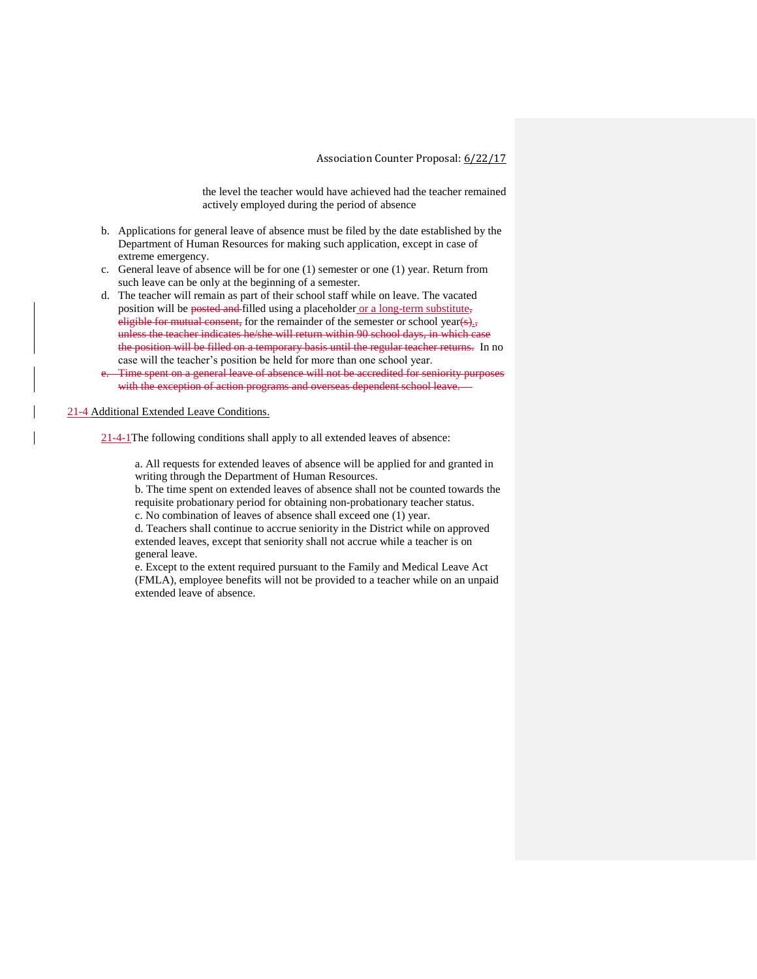the level the teacher would have achieved had the teacher remained actively employed during the period of absence

- b. Applications for general leave of absence must be filed by the date established by the Department of Human Resources for making such application, except in case of extreme emergency.
- c. General leave of absence will be for one (1) semester or one (1) year. Return from such leave can be only at the beginning of a semester.
- d. The teacher will remain as part of their school staff while on leave. The vacated position will be posted and filled using a placeholder or a long-term substitute, eligible for mutual consent, for the remainder of the semester or school year( $\epsilon$ )., unless the teacher indicates he/she will return within 90 school days, in which case the position will be filled on a temporary basis until the regular teacher returns. In no case will the teacher's position be held for more than one school year.
- e. Time spent on a general leave of absence will not be accredited for seniority purposes with the exception of action programs and overseas dependent school leave.

21-4 Additional Extended Leave Conditions.

21-4-1The following conditions shall apply to all extended leaves of absence:

a. All requests for extended leaves of absence will be applied for and granted in writing through the Department of Human Resources.

b. The time spent on extended leaves of absence shall not be counted towards the requisite probationary period for obtaining non-probationary teacher status.

c. No combination of leaves of absence shall exceed one (1) year.

d. Teachers shall continue to accrue seniority in the District while on approved extended leaves, except that seniority shall not accrue while a teacher is on general leave.

e. Except to the extent required pursuant to the Family and Medical Leave Act (FMLA), employee benefits will not be provided to a teacher while on an unpaid extended leave of absence.